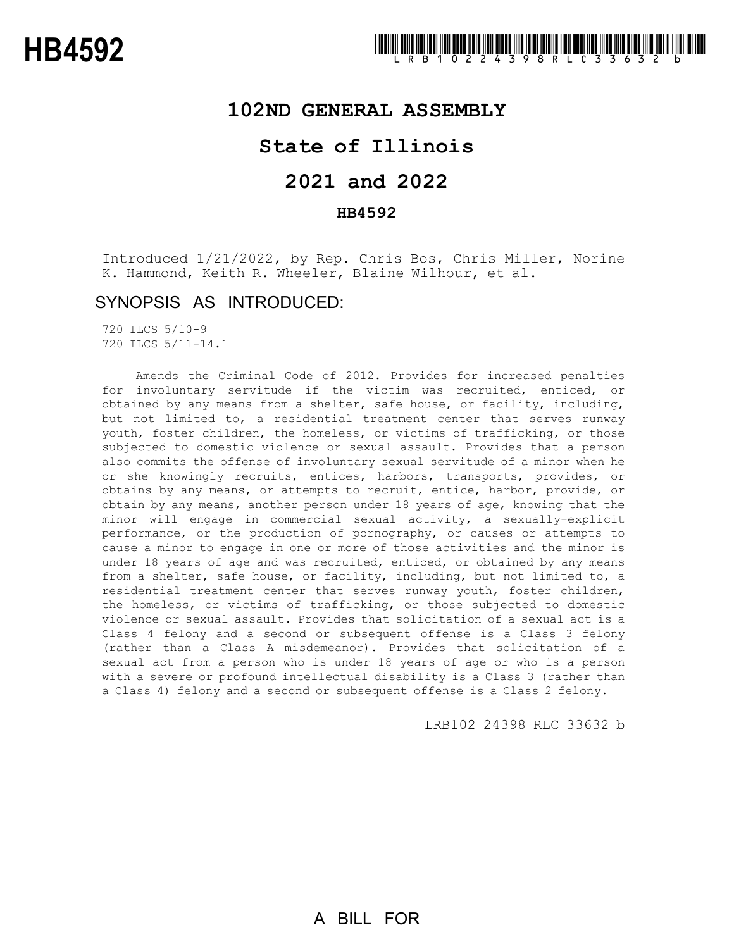## **102ND GENERAL ASSEMBLY**

# **State of Illinois**

# **2021 and 2022**

### **HB4592**

Introduced 1/21/2022, by Rep. Chris Bos, Chris Miller, Norine K. Hammond, Keith R. Wheeler, Blaine Wilhour, et al.

### SYNOPSIS AS INTRODUCED:

720 ILCS 5/10-9 720 ILCS 5/11-14.1

Amends the Criminal Code of 2012. Provides for increased penalties for involuntary servitude if the victim was recruited, enticed, or obtained by any means from a shelter, safe house, or facility, including, but not limited to, a residential treatment center that serves runway youth, foster children, the homeless, or victims of trafficking, or those subjected to domestic violence or sexual assault. Provides that a person also commits the offense of involuntary sexual servitude of a minor when he or she knowingly recruits, entices, harbors, transports, provides, or obtains by any means, or attempts to recruit, entice, harbor, provide, or obtain by any means, another person under 18 years of age, knowing that the minor will engage in commercial sexual activity, a sexually-explicit performance, or the production of pornography, or causes or attempts to cause a minor to engage in one or more of those activities and the minor is under 18 years of age and was recruited, enticed, or obtained by any means from a shelter, safe house, or facility, including, but not limited to, a residential treatment center that serves runway youth, foster children, the homeless, or victims of trafficking, or those subjected to domestic violence or sexual assault. Provides that solicitation of a sexual act is a Class 4 felony and a second or subsequent offense is a Class 3 felony (rather than a Class A misdemeanor). Provides that solicitation of a sexual act from a person who is under 18 years of age or who is a person with a severe or profound intellectual disability is a Class 3 (rather than a Class 4) felony and a second or subsequent offense is a Class 2 felony.

LRB102 24398 RLC 33632 b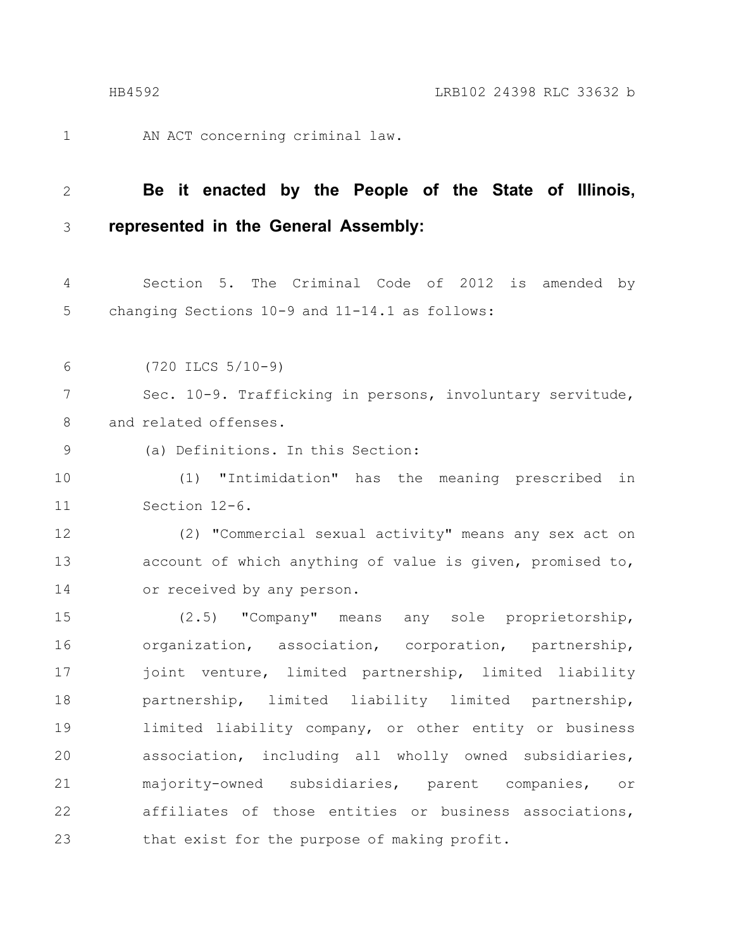1

AN ACT concerning criminal law.

#### **Be it enacted by the People of the State of Illinois, represented in the General Assembly:** 2 3

Section 5. The Criminal Code of 2012 is amended by changing Sections 10-9 and 11-14.1 as follows: 4 5

(720 ILCS 5/10-9) 6

Sec. 10-9. Trafficking in persons, involuntary servitude, and related offenses. 7 8

9

(a) Definitions. In this Section:

(1) "Intimidation" has the meaning prescribed in Section 12-6. 10 11

(2) "Commercial sexual activity" means any sex act on account of which anything of value is given, promised to, or received by any person. 12 13 14

(2.5) "Company" means any sole proprietorship, organization, association, corporation, partnership, joint venture, limited partnership, limited liability partnership, limited liability limited partnership, limited liability company, or other entity or business association, including all wholly owned subsidiaries, majority-owned subsidiaries, parent companies, or affiliates of those entities or business associations, that exist for the purpose of making profit. 15 16 17 18 19 20 21 22 23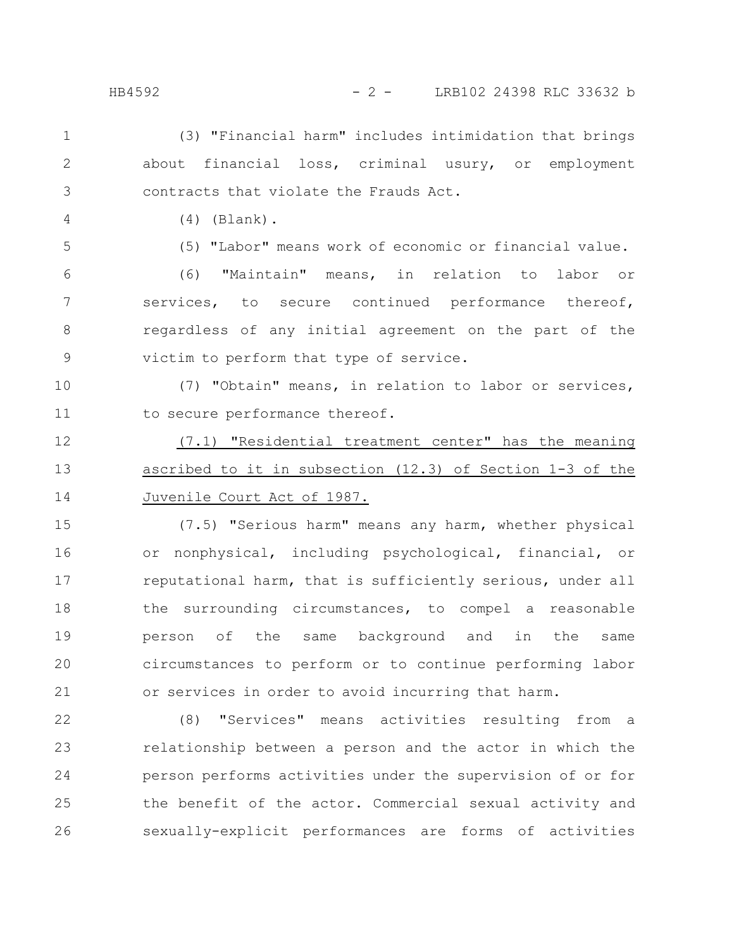(3) "Financial harm" includes intimidation that brings about financial loss, criminal usury, or employment contracts that violate the Frauds Act. 1 2 3

(4) (Blank).

(5) "Labor" means work of economic or financial value.

(6) "Maintain" means, in relation to labor or services, to secure continued performance thereof, regardless of any initial agreement on the part of the victim to perform that type of service. 6 7 8 9

(7) "Obtain" means, in relation to labor or services, to secure performance thereof. 10 11

(7.1) "Residential treatment center" has the meaning ascribed to it in subsection (12.3) of Section 1-3 of the Juvenile Court Act of 1987. 12 13 14

(7.5) "Serious harm" means any harm, whether physical or nonphysical, including psychological, financial, or reputational harm, that is sufficiently serious, under all the surrounding circumstances, to compel a reasonable person of the same background and in the same circumstances to perform or to continue performing labor or services in order to avoid incurring that harm. 15 16 17 18 19 20 21

(8) "Services" means activities resulting from a relationship between a person and the actor in which the person performs activities under the supervision of or for the benefit of the actor. Commercial sexual activity and sexually-explicit performances are forms of activities 22 23 24 25 26

4

5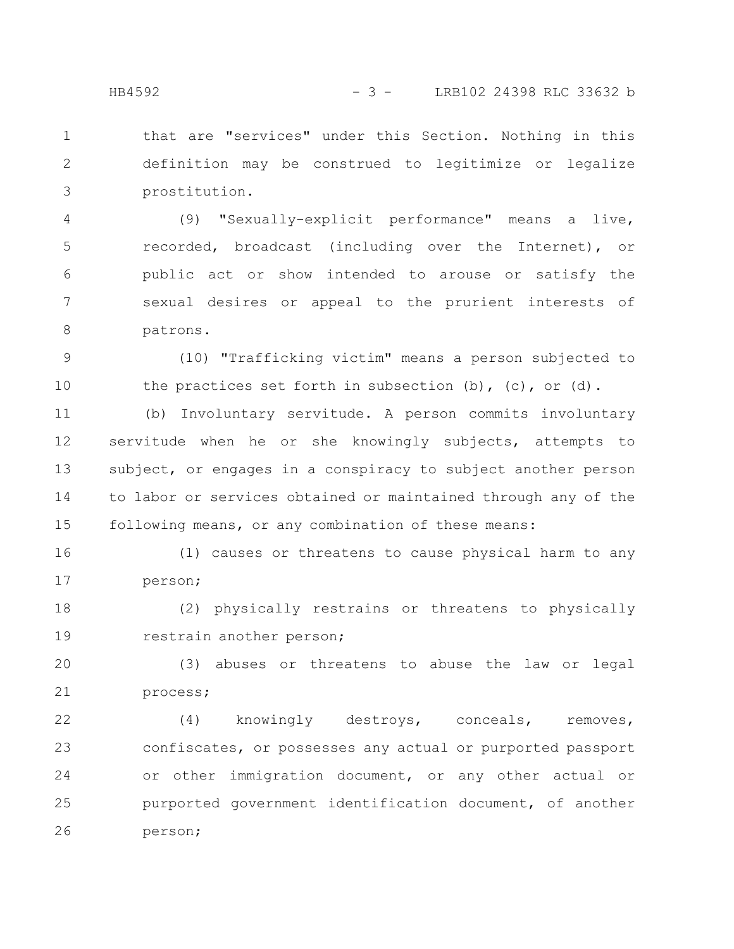that are "services" under this Section. Nothing in this definition may be construed to legitimize or legalize prostitution. 1 2 3

(9) "Sexually-explicit performance" means a live, recorded, broadcast (including over the Internet), or public act or show intended to arouse or satisfy the sexual desires or appeal to the prurient interests of patrons. 4 5 6 7 8

(10) "Trafficking victim" means a person subjected to the practices set forth in subsection  $(b)$ ,  $(c)$ , or  $(d)$ . 9 10

(b) Involuntary servitude. A person commits involuntary servitude when he or she knowingly subjects, attempts to subject, or engages in a conspiracy to subject another person to labor or services obtained or maintained through any of the following means, or any combination of these means: 11 12 13 14 15

(1) causes or threatens to cause physical harm to any person; 16 17

(2) physically restrains or threatens to physically restrain another person; 18 19

(3) abuses or threatens to abuse the law or legal process; 20 21

(4) knowingly destroys, conceals, removes, confiscates, or possesses any actual or purported passport or other immigration document, or any other actual or purported government identification document, of another person; 22 23 24 25 26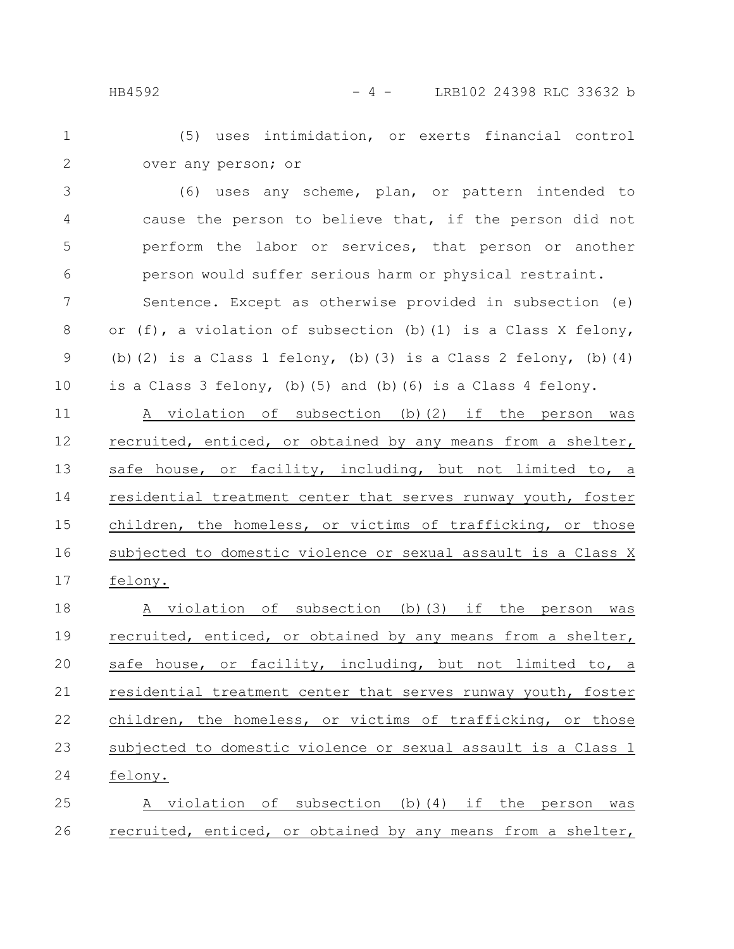(5) uses intimidation, or exerts financial control over any person; or 1 2

(6) uses any scheme, plan, or pattern intended to cause the person to believe that, if the person did not perform the labor or services, that person or another person would suffer serious harm or physical restraint. 3 4 5 6

Sentence. Except as otherwise provided in subsection (e) or (f), a violation of subsection (b)(1) is a Class X felony, (b)(2) is a Class 1 felony, (b)(3) is a Class 2 felony, (b)(4) is a Class 3 felony, (b)(5) and (b)(6) is a Class 4 felony. 7 8 9 10

A violation of subsection (b)(2) if the person was recruited, enticed, or obtained by any means from a shelter, safe house, or facility, including, but not limited to, a residential treatment center that serves runway youth, foster children, the homeless, or victims of trafficking, or those subjected to domestic violence or sexual assault is a Class X felony. 11 12 13 14 15 16 17

A violation of subsection (b)(3) if the person was recruited, enticed, or obtained by any means from a shelter, safe house, or facility, including, but not limited to, a residential treatment center that serves runway youth, foster children, the homeless, or victims of trafficking, or those subjected to domestic violence or sexual assault is a Class 1 felony. A violation of subsection (b)(4) if the person was 18 19 20 21 22 23 24 25

recruited, enticed, or obtained by any means from a shelter, 26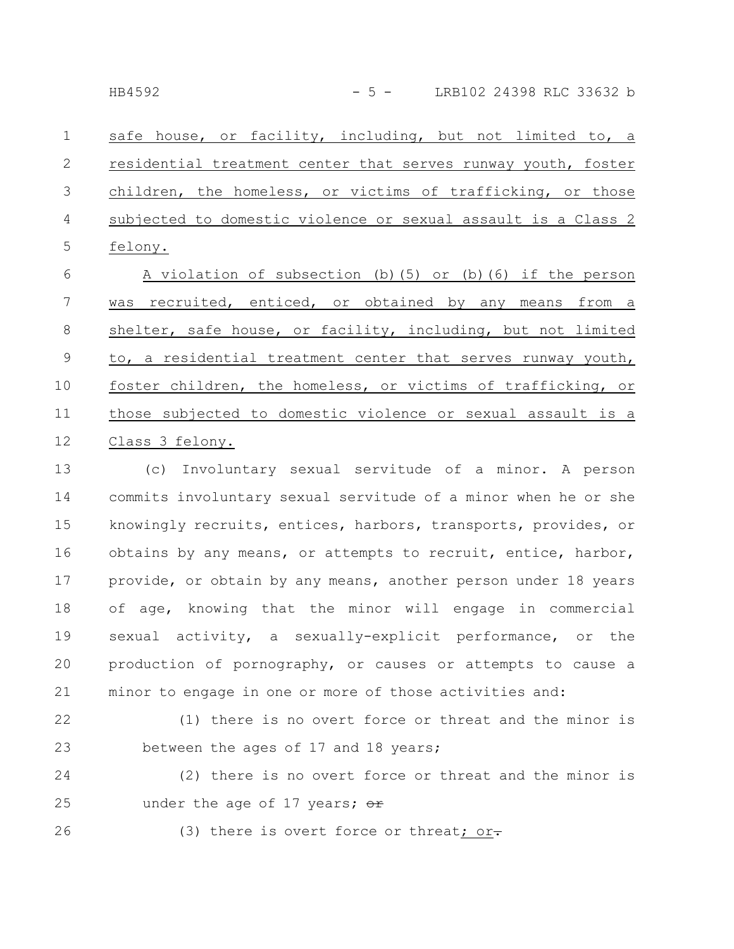safe house, or facility, including, but not limited to, a residential treatment center that serves runway youth, foster children, the homeless, or victims of trafficking, or those subjected to domestic violence or sexual assault is a Class 2 felony. 1 2 3 4 5

A violation of subsection (b)(5) or (b)(6) if the person was recruited, enticed, or obtained by any means from a shelter, safe house, or facility, including, but not limited to, a residential treatment center that serves runway youth, foster children, the homeless, or victims of trafficking, or those subjected to domestic violence or sexual assault is a Class 3 felony. 6 7 8 9 10 11 12

(c) Involuntary sexual servitude of a minor. A person commits involuntary sexual servitude of a minor when he or she knowingly recruits, entices, harbors, transports, provides, or obtains by any means, or attempts to recruit, entice, harbor, provide, or obtain by any means, another person under 18 years of age, knowing that the minor will engage in commercial sexual activity, a sexually-explicit performance, or the production of pornography, or causes or attempts to cause a minor to engage in one or more of those activities and: 13 14 15 16 17 18 19 20 21

22

23

(1) there is no overt force or threat and the minor is between the ages of 17 and 18 years;

(2) there is no overt force or threat and the minor is under the age of 17 years;  $er$ 24 25

26

(3) there is overt force or threat; or-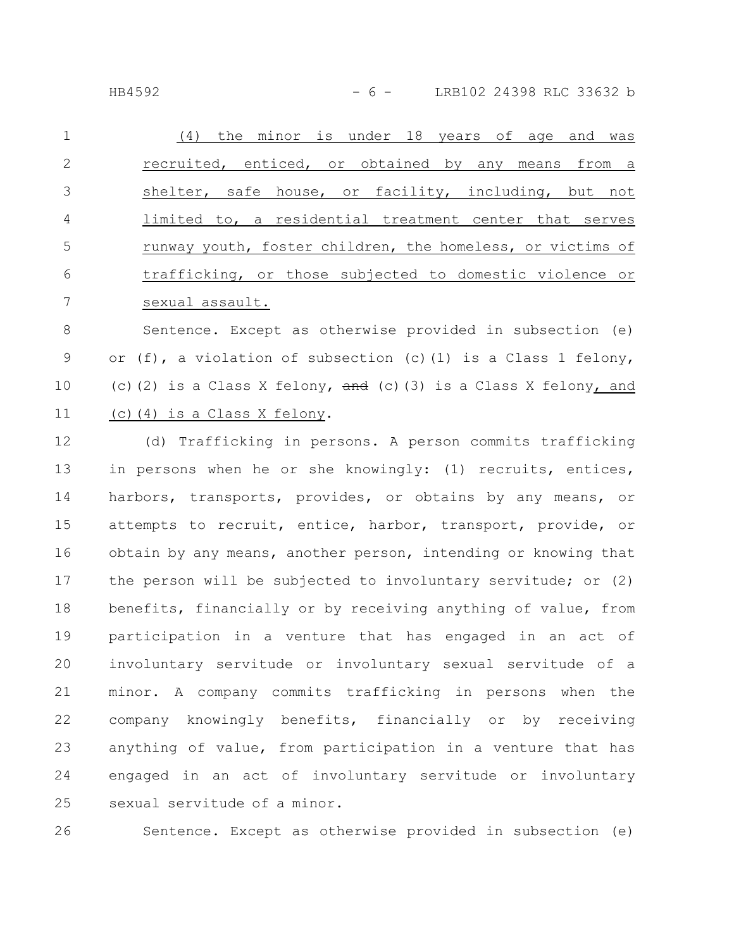HB4592 - 6 - LRB102 24398 RLC 33632 b

| $\mathbf{1}$   | (4) the minor is under 18 years of age and was             |
|----------------|------------------------------------------------------------|
| 2              | recruited, enticed, or obtained by any means from a        |
| 3              | shelter, safe house, or facility, including, but not       |
| $\overline{4}$ | limited to, a residential treatment center that serves     |
| -5             | runway youth, foster children, the homeless, or victims of |
| - 6            | trafficking, or those subjected to domestic violence or    |
|                | sexual assault.                                            |

Sentence. Except as otherwise provided in subsection (e) or (f), a violation of subsection (c)(1) is a Class 1 felony, (c)(2) is a Class X felony,  $\frac{d}{dx}$  (c)(3) is a Class X felony, and (c)(4) is a Class X felony. 8 9 10 11

(d) Trafficking in persons. A person commits trafficking in persons when he or she knowingly: (1) recruits, entices, harbors, transports, provides, or obtains by any means, or attempts to recruit, entice, harbor, transport, provide, or obtain by any means, another person, intending or knowing that the person will be subjected to involuntary servitude; or (2) benefits, financially or by receiving anything of value, from participation in a venture that has engaged in an act of involuntary servitude or involuntary sexual servitude of a minor. A company commits trafficking in persons when the company knowingly benefits, financially or by receiving anything of value, from participation in a venture that has engaged in an act of involuntary servitude or involuntary sexual servitude of a minor. 12 13 14 15 16 17 18 19 20 21 22 23 24 25

26

Sentence. Except as otherwise provided in subsection (e)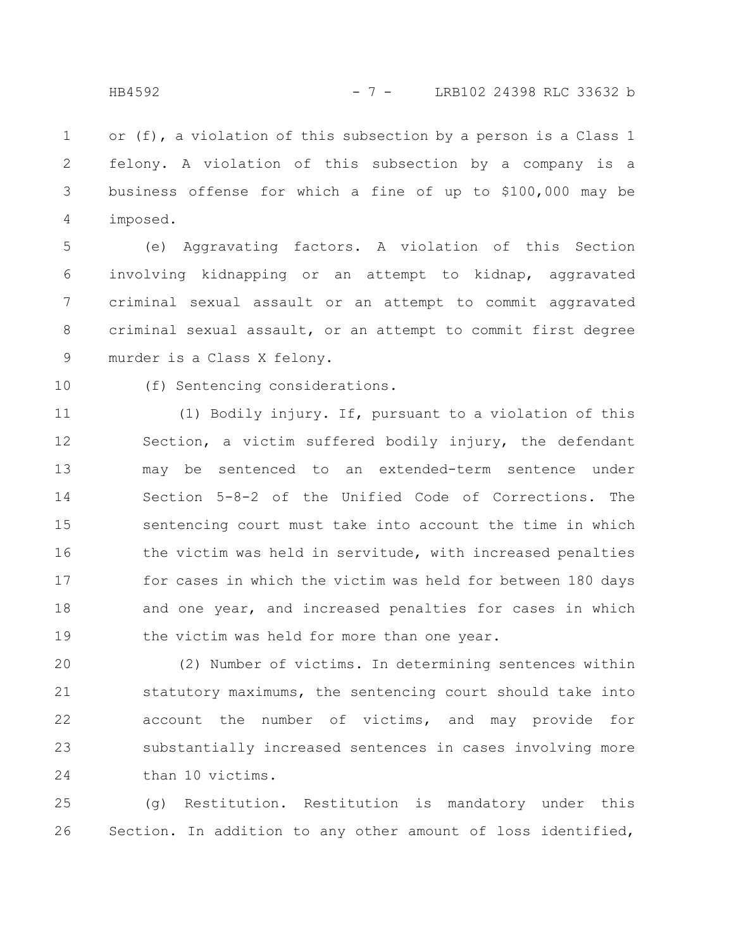or (f), a violation of this subsection by a person is a Class 1 felony. A violation of this subsection by a company is a business offense for which a fine of up to \$100,000 may be imposed. 1 2 3 4

(e) Aggravating factors. A violation of this Section involving kidnapping or an attempt to kidnap, aggravated criminal sexual assault or an attempt to commit aggravated criminal sexual assault, or an attempt to commit first degree murder is a Class X felony. 5 6 7 8 9

10

(f) Sentencing considerations.

(1) Bodily injury. If, pursuant to a violation of this Section, a victim suffered bodily injury, the defendant may be sentenced to an extended-term sentence under Section 5-8-2 of the Unified Code of Corrections. The sentencing court must take into account the time in which the victim was held in servitude, with increased penalties for cases in which the victim was held for between 180 days and one year, and increased penalties for cases in which the victim was held for more than one year. 11 12 13 14 15 16 17 18 19

(2) Number of victims. In determining sentences within statutory maximums, the sentencing court should take into account the number of victims, and may provide for substantially increased sentences in cases involving more than 10 victims. 20 21 22 23 24

(g) Restitution. Restitution is mandatory under this Section. In addition to any other amount of loss identified, 25 26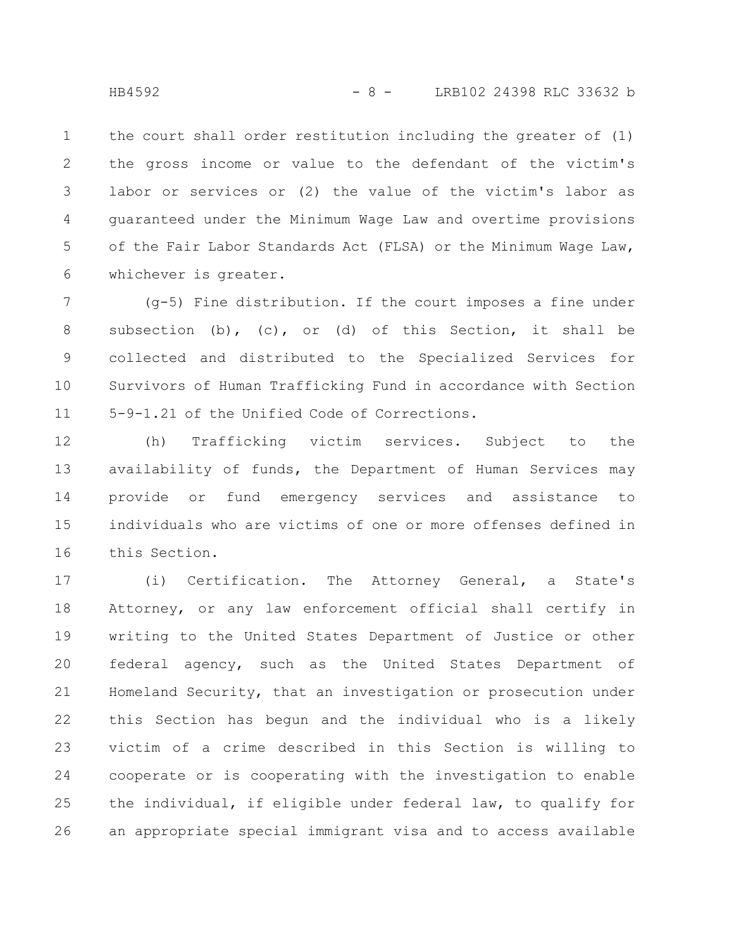the court shall order restitution including the greater of (1) the gross income or value to the defendant of the victim's labor or services or (2) the value of the victim's labor as guaranteed under the Minimum Wage Law and overtime provisions of the Fair Labor Standards Act (FLSA) or the Minimum Wage Law, whichever is greater. 1 2 3 4 5 6

(g-5) Fine distribution. If the court imposes a fine under subsection (b), (c), or (d) of this Section, it shall be collected and distributed to the Specialized Services for Survivors of Human Trafficking Fund in accordance with Section 5-9-1.21 of the Unified Code of Corrections. 7 8 9 10 11

(h) Trafficking victim services. Subject to the availability of funds, the Department of Human Services may provide or fund emergency services and assistance to individuals who are victims of one or more offenses defined in this Section. 12 13 14 15 16

(i) Certification. The Attorney General, a State's Attorney, or any law enforcement official shall certify in writing to the United States Department of Justice or other federal agency, such as the United States Department of Homeland Security, that an investigation or prosecution under this Section has begun and the individual who is a likely victim of a crime described in this Section is willing to cooperate or is cooperating with the investigation to enable the individual, if eligible under federal law, to qualify for an appropriate special immigrant visa and to access available 17 18 19 20 21 22 23 24 25 26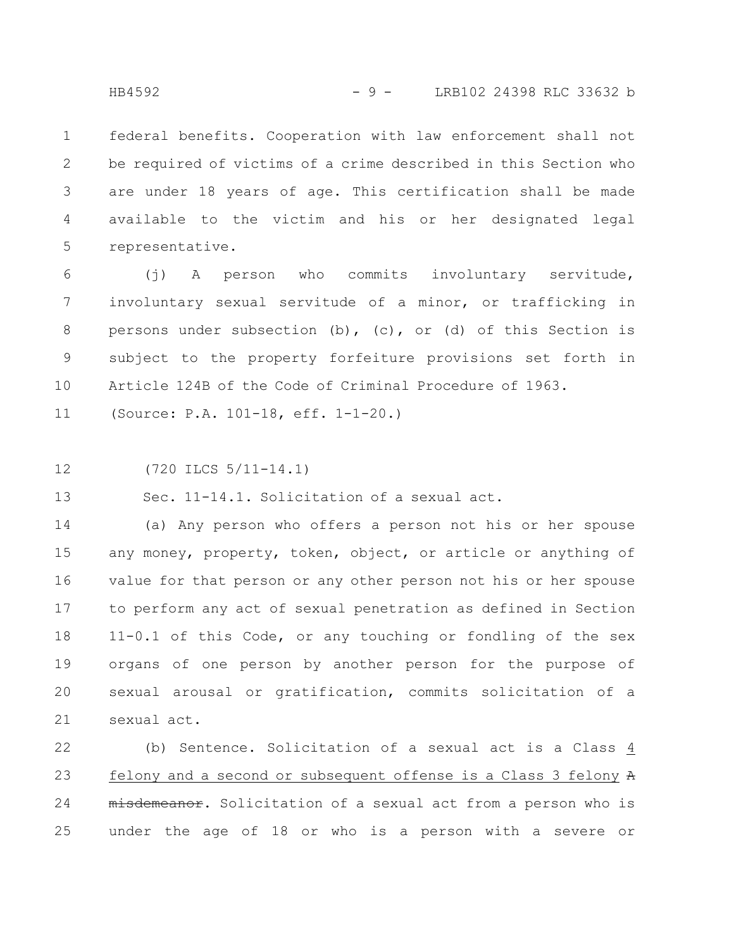federal benefits. Cooperation with law enforcement shall not be required of victims of a crime described in this Section who are under 18 years of age. This certification shall be made available to the victim and his or her designated legal representative. 1 2 3 4 5

(j) A person who commits involuntary servitude, involuntary sexual servitude of a minor, or trafficking in persons under subsection (b), (c), or (d) of this Section is subject to the property forfeiture provisions set forth in Article 124B of the Code of Criminal Procedure of 1963. 6 7 8 9 10

(Source: P.A. 101-18, eff. 1-1-20.) 11

(720 ILCS 5/11-14.1) 12

Sec. 11-14.1. Solicitation of a sexual act. 13

(a) Any person who offers a person not his or her spouse any money, property, token, object, or article or anything of value for that person or any other person not his or her spouse to perform any act of sexual penetration as defined in Section 11-0.1 of this Code, or any touching or fondling of the sex organs of one person by another person for the purpose of sexual arousal or gratification, commits solicitation of a sexual act. 14 15 16 17 18 19 20 21

(b) Sentence. Solicitation of a sexual act is a Class 4 felony and a second or subsequent offense is a Class 3 felony A misdemeanor. Solicitation of a sexual act from a person who is under the age of 18 or who is a person with a severe or 22 23 24 25